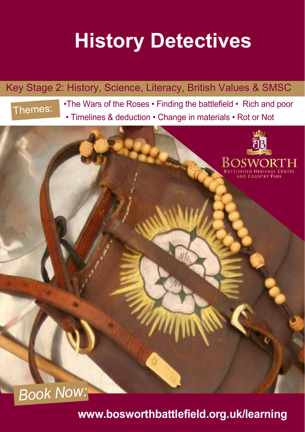# **History Detectives**

### Key Stage 2: History, Science, Literacy, British Values & SMSC



• Timelines & deduction • Change in materials • Rot or Not The Wars of the Roses • Finding the battlefield • Rich and poor



**www.bosworthbattlefield.org.uk/learning**